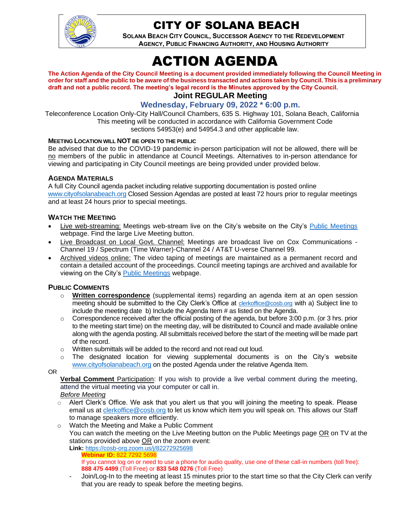

# CITY OF SOLANA BEACH

**SOLANA BEACH CITY COUNCIL, SUCCESSOR AGENCY TO THE REDEVELOPMENT AGENCY, PUBLIC FINANCING AUTHORITY, AND HOUSING AUTHORITY** 

# ACTION AGENDA

**The Action Agenda of the City Council Meeting is a document provided immediately following the Council Meeting in order for staff and the public to be aware of the business transacted and actions taken by Council. This is a preliminary draft and not a public record. The meeting's legal record is the Minutes approved by the City Council.**

**Joint REGULAR Meeting**

#### **Wednesday, February 09, 2022 \* 6:00 p.m.**

Teleconference Location Only-City Hall/Council Chambers, 635 S. Highway 101, Solana Beach, California This meeting will be conducted in accordance with California Government Code sections 54953(e) and 54954.3 and other applicable law.

#### **MEETING LOCATION WILL NOT BE OPEN TO THE PUBLIC**

Be advised that due to the COVID-19 pandemic in-person participation will not be allowed, there will be no members of the public in attendance at Council Meetings. Alternatives to in-person attendance for viewing and participating in City Council meetings are being provided under provided below.

#### **AGENDA MATERIALS**

A full City Council agenda packet including relative supporting documentation is posted online [www.cityofsolanabeach.org](http://www.cityofsolanabeach.org/) Closed Session Agendas are posted at least 72 hours prior to regular meetings and at least 24 hours prior to special meetings.

#### **WATCH THE MEETING**

- Live web-streaming: Meetings web-stream live on the City's website on the City's [Public Meetings](https://urldefense.proofpoint.com/v2/url?u=https-3A__www.ci.solana-2Dbeach.ca.us_index.asp-3FSEC-3DF0F1200D-2D21C6-2D4A88-2D8AE1-2D0BC07C1A81A7-26Type-3DB-5FBASIC&d=DwMFAg&c=euGZstcaTDllvimEN8b7jXrwqOf-v5A_CdpgnVfiiMM&r=1XAsCUuqwK_tji2t0s1uIQ&m=wny2RVfZJ2tN24LkqZmkUWNpwL_peNtTZUBlTBZiMM4&s=WwpcEQpHHkFen6nS6q2waMuQ_VMZ-i1YZ60lD-dYRRE&e=) webpage. Find the large Live Meeting button.
- Live Broadcast on Local Govt. Channel: Meetings are broadcast live on Cox Communications Channel 19 / Spectrum (Time Warner)-Channel 24 / AT&T U-verse Channel 99.
- Archived videos online: The video taping of meetings are maintained as a permanent record and contain a detailed account of the proceedings. Council meeting tapings are archived and available for viewing on the City's [Public Meetings](https://urldefense.proofpoint.com/v2/url?u=https-3A__www.ci.solana-2Dbeach.ca.us_index.asp-3FSEC-3DF0F1200D-2D21C6-2D4A88-2D8AE1-2D0BC07C1A81A7-26Type-3DB-5FBASIC&d=DwMFAg&c=euGZstcaTDllvimEN8b7jXrwqOf-v5A_CdpgnVfiiMM&r=1XAsCUuqwK_tji2t0s1uIQ&m=wny2RVfZJ2tN24LkqZmkUWNpwL_peNtTZUBlTBZiMM4&s=WwpcEQpHHkFen6nS6q2waMuQ_VMZ-i1YZ60lD-dYRRE&e=) webpage.

#### **PUBLIC COMMENTS**

- o **Written correspondence** (supplemental items) regarding an agenda item at an open session meeting should be submitted to the City Clerk's Office at [clerkoffice@cosb.org](mailto:clerkoffice@cosb.org) with a) Subject line to include the meeting date b) Include the Agenda Item # as listed on the Agenda.
- $\circ$  Correspondence received after the official posting of the agenda, but before 3:00 p.m. (or 3 hrs. prior to the meeting start time) on the meeting day, will be distributed to Council and made available online along with the agenda posting. All submittals received before the start of the meeting will be made part of the record.
- o Written submittals will be added to the record and not read out loud.
- $\circ$  The designated location for viewing supplemental documents is on the City's website [www.cityofsolanabeach.org](http://www.cityofsolanabeach.org/) on the posted Agenda under the relative Agenda Item.

OR

**Verbal Comment** Participation: If you wish to provide a live verbal comment during the meeting, attend the virtual meeting via your computer or call in.

- *Before Meeting*
- $\circ$  Alert Clerk's Office. We ask that you alert us that you will joining the meeting to speak. Please email us at [clerkoffice@cosb.org](mailto:clerkoffice@cosb.org) to let us know which item you will speak on. This allows our Staff to manage speakers more efficiently.
- o Watch the Meeting and Make a Public Comment You can watch the meeting on the Live Meeting button on the Public Meetings page OR on TV at the stations provided above OR on the zoom event: **Link:** <https://cosb-org.zoom.us/j/82272925698>
	- **Webinar ID:** 822 7292 5698 If you cannot log on or need to use a phone for audio quality, use one of these call-in numbers (toll free): **888 475 4499** (Toll Free) or **833 548 0276** (Toll Free)
	- Join/Log-In to the meeting at least 15 minutes prior to the start time so that the City Clerk can verify that you are ready to speak before the meeting begins.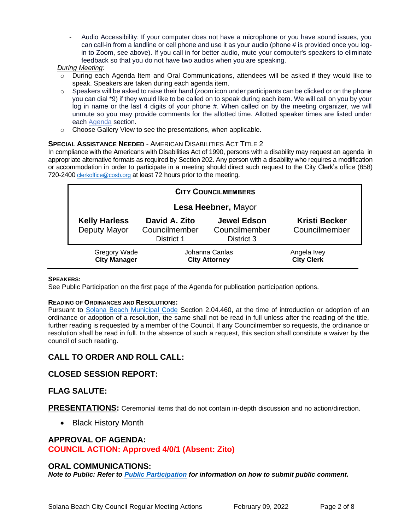Audio Accessibility: If your computer does not have a microphone or you have sound issues, you can call-in from a landline or cell phone and use it as your audio (phone # is provided once you login to Zoom, see above). If you call in for better audio, mute your computer's speakers to eliminate feedback so that you do not have two audios when you are speaking.

#### *During Meeting:*

- During each Agenda Item and Oral Communications, attendees will be asked if they would like to speak. Speakers are taken during each agenda item.
- $\circ$  Speakers will be asked to raise their hand (zoom icon under participants can be clicked or on the phone you can dial \*9) if they would like to be called on to speak during each item. We will call on you by your log in name or the last 4 digits of your phone #. When called on by the meeting organizer, we will unmute so you may provide comments for the allotted time. Allotted speaker times are listed under each [Agenda](https://urldefense.proofpoint.com/v2/url?u=https-3A__www.ci.solana-2Dbeach.ca.us_index.asp-3FSEC-3DF0F1200D-2D21C6-2D4A88-2D8AE1-2D0BC07C1A81A7-26Type-3DB-5FBASIC&d=DwMFaQ&c=euGZstcaTDllvimEN8b7jXrwqOf-v5A_CdpgnVfiiMM&r=1XAsCUuqwK_tji2t0s1uIQ&m=C7WzXfOw2_nkEFMJClT55zZsF4tmIf_7KTn0o1WpYqI&s=3DcsWExM2_nx_xpvFtXslUjphiXd0MDCCF18y_Qy5yU&e=) section.
- o Choose Gallery View to see the presentations, when applicable.

#### **SPECIAL ASSISTANCE NEEDED** - AMERICAN DISABILITIES ACT TITLE 2

In compliance with the Americans with Disabilities Act of 1990, persons with a disability may request an agenda in appropriate alternative formats as required by Section 202. Any person with a disability who requires a modification or accommodation in order to participate in a meeting should direct such request to the City Clerk's office (858) 720-2400 [clerkoffice@cosb.org](mailto:EMAILGRP-CityClerksOfc@cosb.org) at least 72 hours prior to the meeting.

| <b>CITY COUNCILMEMBERS</b>                 |                                              |                                                   |                                       |
|--------------------------------------------|----------------------------------------------|---------------------------------------------------|---------------------------------------|
| Lesa Heebner, Mayor                        |                                              |                                                   |                                       |
| <b>Kelly Harless</b><br>Deputy Mayor       | David A. Zito<br>Councilmember<br>District 1 | <b>Jewel Edson</b><br>Councilmember<br>District 3 | <b>Kristi Becker</b><br>Councilmember |
| <b>Gregory Wade</b><br><b>City Manager</b> | Johanna Canlas<br><b>City Attorney</b>       |                                                   | Angela Ivey<br><b>City Clerk</b>      |

#### **SPEAKERS:**

See Public Participation on the first page of the Agenda for publication participation options.

#### **READING OF ORDINANCES AND RESOLUTIONS:**

Pursuant to [Solana Beach Municipal Code](https://www.codepublishing.com/CA/SolanaBeach/) Section 2.04.460, at the time of introduction or adoption of an ordinance or adoption of a resolution, the same shall not be read in full unless after the reading of the title, further reading is requested by a member of the Council. If any Councilmember so requests, the ordinance or resolution shall be read in full. In the absence of such a request, this section shall constitute a waiver by the council of such reading.

## **CALL TO ORDER AND ROLL CALL:**

#### **CLOSED SESSION REPORT:**

#### **FLAG SALUTE:**

**PRESENTATIONS:** Ceremonial items that do not contain in-depth discussion and no action/direction.

• Black History Month

#### **APPROVAL OF AGENDA:**

**COUNCIL ACTION: Approved 4/0/1 (Absent: Zito)**

#### **ORAL COMMUNICATIONS:**

*Note to Public: Refer to Public Participation for information on how to submit public comment.*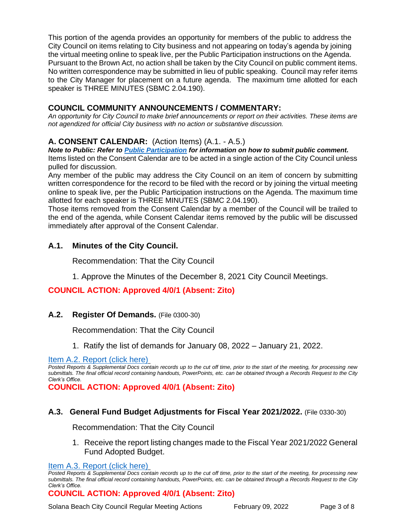This portion of the agenda provides an opportunity for members of the public to address the City Council on items relating to City business and not appearing on today's agenda by joining the virtual meeting online to speak live, per the Public Participation instructions on the Agenda. Pursuant to the Brown Act, no action shall be taken by the City Council on public comment items. No written correspondence may be submitted in lieu of public speaking. Council may refer items to the City Manager for placement on a future agenda. The maximum time allotted for each speaker is THREE MINUTES (SBMC 2.04.190).

# **COUNCIL COMMUNITY ANNOUNCEMENTS / COMMENTARY:**

*An opportunity for City Council to make brief announcements or report on their activities. These items are not agendized for official City business with no action or substantive discussion.* 

# **A. CONSENT CALENDAR:** (Action Items) (A.1. - A.5.)

*Note to Public: Refer to Public Participation for information on how to submit public comment.*  Items listed on the Consent Calendar are to be acted in a single action of the City Council unless pulled for discussion.

Any member of the public may address the City Council on an item of concern by submitting written correspondence for the record to be filed with the record or by joining the virtual meeting online to speak live, per the Public Participation instructions on the Agenda. The maximum time allotted for each speaker is THREE MINUTES (SBMC 2.04.190).

Those items removed from the Consent Calendar by a member of the Council will be trailed to the end of the agenda, while Consent Calendar items removed by the public will be discussed immediately after approval of the Consent Calendar.

# **A.1. Minutes of the City Council.**

Recommendation: That the City Council

1. Approve the Minutes of the December 8, 2021 City Council Meetings.

## **COUNCIL ACTION: Approved 4/0/1 (Absent: Zito)**

## **A.2. Register Of Demands.** (File 0300-30)

Recommendation: That the City Council

1. Ratify the list of demands for January 08, 2022 – January 21, 2022.

[Item A.2. Report \(click here\)](https://solanabeach.govoffice3.com/vertical/Sites/%7B840804C2-F869-4904-9AE3-720581350CE7%7D/uploads/Item_A.2._Report_(click_here)_-_2-09-22_-_O(1).pdf)

*Posted Reports & Supplemental Docs contain records up to the cut off time, prior to the start of the meeting, for processing new submittals. The final official record containing handouts, PowerPoints, etc. can be obtained through a Records Request to the City Clerk's Office.*

**COUNCIL ACTION: Approved 4/0/1 (Absent: Zito)**

## **A.3. General Fund Budget Adjustments for Fiscal Year 2021/2022.** (File 0330-30)

Recommendation: That the City Council

1. Receive the report listing changes made to the Fiscal Year 2021/2022 General Fund Adopted Budget.

[Item A.3. Report \(click here\)](https://solanabeach.govoffice3.com/vertical/Sites/%7B840804C2-F869-4904-9AE3-720581350CE7%7D/uploads/Item_A.3._Report_(click_here)_-_2-09-22_-_O.pdf)

*Posted Reports & Supplemental Docs contain records up to the cut off time, prior to the start of the meeting, for processing new submittals. The final official record containing handouts, PowerPoints, etc. can be obtained through a Records Request to the City Clerk's Office.*

#### **COUNCIL ACTION: Approved 4/0/1 (Absent: Zito)**

Solana Beach City Council Regular Meeting Actions February 09, 2022 Page 3 of 8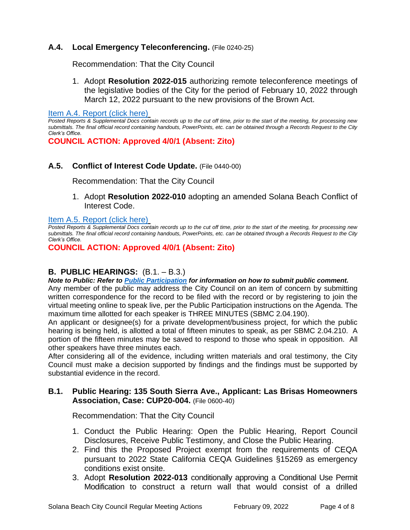# **A.4. Local Emergency Teleconferencing.** (File 0240-25)

Recommendation: That the City Council

1. Adopt **Resolution 2022-015** authorizing remote teleconference meetings of the legislative bodies of the City for the period of February 10, 2022 through March 12, 2022 pursuant to the new provisions of the Brown Act.

[Item A.4. Report \(click here\)](https://solanabeach.govoffice3.com/vertical/Sites/%7B840804C2-F869-4904-9AE3-720581350CE7%7D/uploads/Item_A.4._Report_(click_here)_-_2-09-22_-_O.pdf)

*Posted Reports & Supplemental Docs contain records up to the cut off time, prior to the start of the meeting, for processing new submittals. The final official record containing handouts, PowerPoints, etc. can be obtained through a Records Request to the City Clerk's Office.*

**COUNCIL ACTION: Approved 4/0/1 (Absent: Zito)**

#### **A.5. Conflict of Interest Code Update.** (File 0440-00)

Recommendation: That the City Council

1. Adopt **Resolution 2022-010** adopting an amended Solana Beach Conflict of Interest Code.

#### [Item A.5. Report \(click here\)](https://solanabeach.govoffice3.com/vertical/Sites/%7B840804C2-F869-4904-9AE3-720581350CE7%7D/uploads/Item_A.5._Report_(click_here)_-_2-09-22_-_O.pdf)

*Posted Reports & Supplemental Docs contain records up to the cut off time, prior to the start of the meeting, for processing new submittals. The final official record containing handouts, PowerPoints, etc. can be obtained through a Records Request to the City Clerk's Office.*

**COUNCIL ACTION: Approved 4/0/1 (Absent: Zito)**

## **B. PUBLIC HEARINGS:** (B.1. – B.3.)

*Note to Public: Refer to Public Participation for information on how to submit public comment.* 

Any member of the public may address the City Council on an item of concern by submitting written correspondence for the record to be filed with the record or by registering to join the virtual meeting online to speak live, per the Public Participation instructions on the Agenda. The maximum time allotted for each speaker is THREE MINUTES (SBMC 2.04.190).

An applicant or designee(s) for a private development/business project, for which the public hearing is being held, is allotted a total of fifteen minutes to speak, as per SBMC 2.04.210. A portion of the fifteen minutes may be saved to respond to those who speak in opposition. All other speakers have three minutes each.

After considering all of the evidence, including written materials and oral testimony, the City Council must make a decision supported by findings and the findings must be supported by substantial evidence in the record.

#### **B.1. Public Hearing: 135 South Sierra Ave., Applicant: Las Brisas Homeowners Association, Case: CUP20-004.** (File 0600-40)

Recommendation: That the City Council

- 1. Conduct the Public Hearing: Open the Public Hearing, Report Council Disclosures, Receive Public Testimony, and Close the Public Hearing.
- 2. Find this the Proposed Project exempt from the requirements of CEQA pursuant to 2022 State California CEQA Guidelines §15269 as emergency conditions exist onsite.
- 3. Adopt **Resolution 2022-013** conditionally approving a Conditional Use Permit Modification to construct a return wall that would consist of a drilled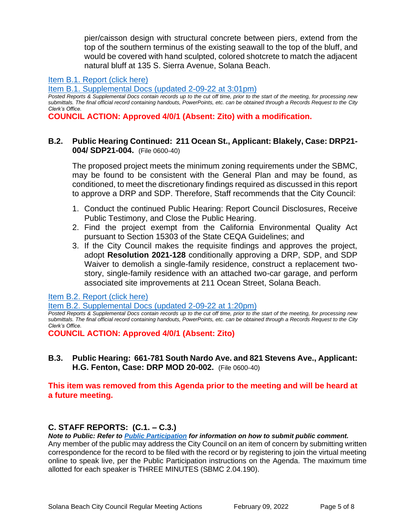pier/caisson design with structural concrete between piers, extend from the top of the southern terminus of the existing seawall to the top of the bluff, and would be covered with hand sculpted, colored shotcrete to match the adjacent natural bluff at 135 S. Sierra Avenue, Solana Beach.

#### [Item B.1. Report \(click here\)](https://solanabeach.govoffice3.com/vertical/Sites/%7B840804C2-F869-4904-9AE3-720581350CE7%7D/uploads/Item_B.1._Report_(click_here)_-_2-09-22_-_O.pdf)

[Item B.1. Supplemental Docs \(updated 2-09-22](https://solanabeach.govoffice3.com/vertical/Sites/%7B840804C2-F869-4904-9AE3-720581350CE7%7D/uploads/Item_B.1._Supp_Docs_(2-9_255pm)_-_O(1).pdf) at 3:01pm)

*Posted Reports & Supplemental Docs contain records up to the cut off time, prior to the start of the meeting, for processing new submittals. The final official record containing handouts, PowerPoints, etc. can be obtained through a Records Request to the City Clerk's Office.*

**COUNCIL ACTION: Approved 4/0/1 (Absent: Zito) with a modification.** 

#### **B.2. Public Hearing Continued: 211 Ocean St., Applicant: Blakely, Case: DRP21- 004/ SDP21-004.** (File 0600-40)

The proposed project meets the minimum zoning requirements under the SBMC, may be found to be consistent with the General Plan and may be found, as conditioned, to meet the discretionary findings required as discussed in this report to approve a DRP and SDP. Therefore, Staff recommends that the City Council:

- 1. Conduct the continued Public Hearing: Report Council Disclosures, Receive Public Testimony, and Close the Public Hearing.
- 2. Find the project exempt from the California Environmental Quality Act pursuant to Section 15303 of the State CEQA Guidelines; and
- 3. If the City Council makes the requisite findings and approves the project, adopt **Resolution 2021-128** conditionally approving a DRP, SDP, and SDP Waiver to demolish a single-family residence, construct a replacement twostory, single-family residence with an attached two-car garage, and perform associated site improvements at 211 Ocean Street, Solana Beach.

**[Item B.2. Report \(click here\)](https://solanabeach.govoffice3.com/vertical/Sites/%7B840804C2-F869-4904-9AE3-720581350CE7%7D/uploads/Item_B.2._Report_(click_here)_-_2-09-22_-_O.pdf)** 

[Item B.2. Supplemental Docs \(updated 2-09-22](https://solanabeach.govoffice3.com/vertical/Sites/%7B840804C2-F869-4904-9AE3-720581350CE7%7D/uploads/Item_B.2._Supp_Doc_(2-9_1245pm)_-_O.pdf) at 1:20pm)

*Posted Reports & Supplemental Docs contain records up to the cut off time, prior to the start of the meeting, for processing new submittals. The final official record containing handouts, PowerPoints, etc. can be obtained through a Records Request to the City Clerk's Office.*

**COUNCIL ACTION: Approved 4/0/1 (Absent: Zito)**

## **B.3. Public Hearing: 661-781 South Nardo Ave. and 821 Stevens Ave., Applicant: H.G. Fenton, Case: DRP MOD 20-002.** (File 0600-40)

#### **This item was removed from this Agenda prior to the meeting and will be heard at a future meeting.**

# **C. STAFF REPORTS: (C.1. – C.3.)**

*Note to Public: Refer to Public Participation for information on how to submit public comment.* 

Any member of the public may address the City Council on an item of concern by submitting written correspondence for the record to be filed with the record or by registering to join the virtual meeting online to speak live, per the Public Participation instructions on the Agenda. The maximum time allotted for each speaker is THREE MINUTES (SBMC 2.04.190).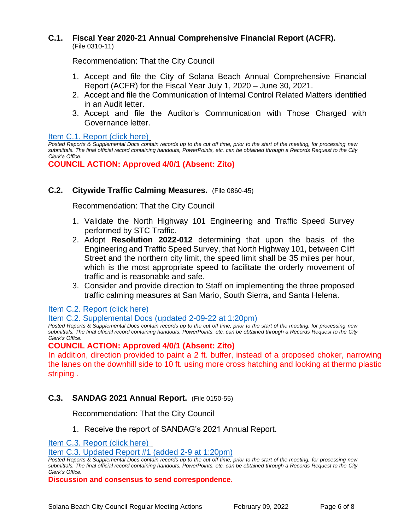#### **C.1. Fiscal Year 2020-21 Annual Comprehensive Financial Report (ACFR).** (File 0310-11)

Recommendation: That the City Council

- 1. Accept and file the City of Solana Beach Annual Comprehensive Financial Report (ACFR) for the Fiscal Year July 1, 2020 – June 30, 2021.
- 2. Accept and file the Communication of Internal Control Related Matters identified in an Audit letter.
- 3. Accept and file the Auditor's Communication with Those Charged with Governance letter.

[Item C.1. Report \(click here\)](https://solanabeach.govoffice3.com/vertical/Sites/%7B840804C2-F869-4904-9AE3-720581350CE7%7D/uploads/Item_C.1._Report_(click_here)_-_2-09-22_-O.pdf)

*Posted Reports & Supplemental Docs contain records up to the cut off time, prior to the start of the meeting, for processing new submittals. The final official record containing handouts, PowerPoints, etc. can be obtained through a Records Request to the City Clerk's Office.*

**COUNCIL ACTION: Approved 4/0/1 (Absent: Zito)**

## **C.2. Citywide Traffic Calming Measures.** (File 0860-45)

Recommendation: That the City Council

- 1. Validate the North Highway 101 Engineering and Traffic Speed Survey performed by STC Traffic.
- 2. Adopt **Resolution 2022-012** determining that upon the basis of the Engineering and Traffic Speed Survey, that North Highway 101, between Cliff Street and the northern city limit, the speed limit shall be 35 miles per hour, which is the most appropriate speed to facilitate the orderly movement of traffic and is reasonable and safe.
- 3. Consider and provide direction to Staff on implementing the three proposed traffic calming measures at San Mario, South Sierra, and Santa Helena.

[Item C.2. Report](https://solanabeach.govoffice3.com/vertical/Sites/%7B840804C2-F869-4904-9AE3-720581350CE7%7D/uploads/Item_C.2._Report_(click_here)_-_2-09-22_-_O.pdf) (click here)

#### [Item C.2. Supplemental Docs \(updated](https://solanabeach.govoffice3.com/vertical/Sites/%7B840804C2-F869-4904-9AE3-720581350CE7%7D/uploads/Item_C.2._Supp_Doc_(2-9_120pm)_-_O.pdf) 2-09-22 at 1:20pm)

*Posted Reports & Supplemental Docs contain records up to the cut off time, prior to the start of the meeting, for processing new submittals. The final official record containing handouts, PowerPoints, etc. can be obtained through a Records Request to the City Clerk's Office.*

## **COUNCIL ACTION: Approved 4/0/1 (Absent: Zito)**

In addition, direction provided to paint a 2 ft. buffer, instead of a proposed choker, narrowing the lanes on the downhill side to 10 ft. using more cross hatching and looking at thermo plastic striping .

## **C.3. SANDAG 2021 Annual Report.** (File 0150-55)

Recommendation: That the City Council

1. Receive the report of SANDAG's 2021 Annual Report.

[Item C.3. Report \(click here\)](https://solanabeach.govoffice3.com/vertical/Sites/%7B840804C2-F869-4904-9AE3-720581350CE7%7D/uploads/Item_C.3._Report_(click_here)_-_2-09-22_-_O.pdf) 

#### [Item C.3. Updated Report #1 \(added 2-9 at 1:20pm\)](https://solanabeach.govoffice3.com/vertical/Sites/%7B840804C2-F869-4904-9AE3-720581350CE7%7D/uploads/C.3._Updated_Report_1_(2-9_1pm)_-_O.pdf)

*Posted Reports & Supplemental Docs contain records up to the cut off time, prior to the start of the meeting, for processing new submittals. The final official record containing handouts, PowerPoints, etc. can be obtained through a Records Request to the City Clerk's Office.*

**Discussion and consensus to send correspondence.**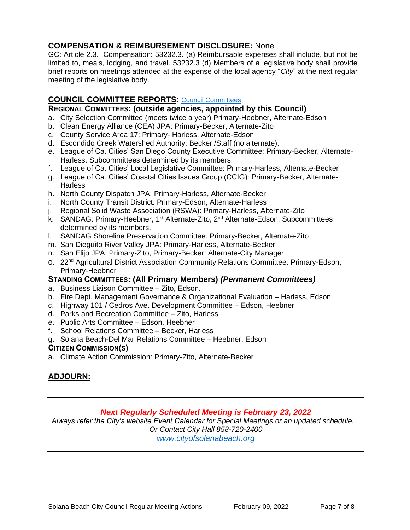## **COMPENSATION & REIMBURSEMENT DISCLOSURE:** None

GC: Article 2.3. Compensation: 53232.3. (a) Reimbursable expenses shall include, but not be limited to, meals, lodging, and travel. 53232.3 (d) Members of a legislative body shall provide brief reports on meetings attended at the expense of the local agency "*City*" at the next regular meeting of the legislative body.

#### **COUNCIL COMMITTEE REPORTS:** [Council Committees](https://www.ci.solana-beach.ca.us/index.asp?SEC=584E1192-3850-46EA-B977-088AC3E81E0D&Type=B_BASIC)

#### **REGIONAL COMMITTEES: (outside agencies, appointed by this Council)**

- a. City Selection Committee (meets twice a year) Primary-Heebner, Alternate-Edson
- b. Clean Energy Alliance (CEA) JPA: Primary-Becker, Alternate-Zito
- c. County Service Area 17: Primary- Harless, Alternate-Edson
- d. Escondido Creek Watershed Authority: Becker /Staff (no alternate).
- e. League of Ca. Cities' San Diego County Executive Committee: Primary-Becker, Alternate-Harless. Subcommittees determined by its members.
- f. League of Ca. Cities' Local Legislative Committee: Primary-Harless, Alternate-Becker
- g. League of Ca. Cities' Coastal Cities Issues Group (CCIG): Primary-Becker, Alternate-**Harless**
- h. North County Dispatch JPA: Primary-Harless, Alternate-Becker
- i. North County Transit District: Primary-Edson, Alternate-Harless
- j. Regional Solid Waste Association (RSWA): Primary-Harless, Alternate-Zito
- k. SANDAG: Primary-Heebner, 1<sup>st</sup> Alternate-Zito, 2<sup>nd</sup> Alternate-Edson. Subcommittees determined by its members.
- l. SANDAG Shoreline Preservation Committee: Primary-Becker, Alternate-Zito
- m. San Dieguito River Valley JPA: Primary-Harless, Alternate-Becker
- n. San Elijo JPA: Primary-Zito, Primary-Becker, Alternate-City Manager
- o. 22<sup>nd</sup> Agricultural District Association Community Relations Committee: Primary-Edson, Primary-Heebner

#### **STANDING COMMITTEES: (All Primary Members)** *(Permanent Committees)*

- a. Business Liaison Committee Zito, Edson.
- b. Fire Dept. Management Governance & Organizational Evaluation Harless, Edson
- c. Highway 101 / Cedros Ave. Development Committee Edson, Heebner
- d. Parks and Recreation Committee Zito, Harless
- e. Public Arts Committee Edson, Heebner
- f. School Relations Committee Becker, Harless
- g. Solana Beach-Del Mar Relations Committee Heebner, Edson

#### **CITIZEN COMMISSION(S)**

a. Climate Action Commission: Primary-Zito, Alternate-Becker

# **ADJOURN:**

#### *Next Regularly Scheduled Meeting is February 23, 2022*

*Always refer the City's website Event Calendar for Special Meetings or an updated schedule. Or Contact City Hall 858-720-2400 [www.cityofsolanabeach.org](http://www.cityofsolanabeach.org/)*